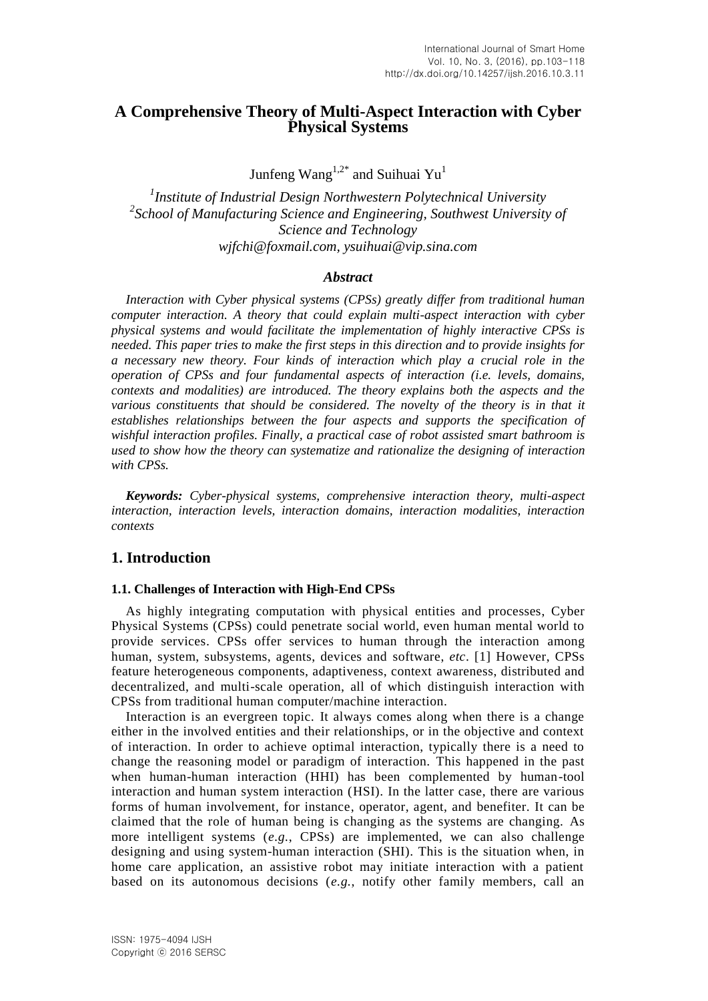# **A Comprehensive Theory of Multi-Aspect Interaction with Cyber Physical Systems**

Junfeng Wang<sup>1,2\*</sup> and Suihuai Yu<sup>1</sup>

*1 Institute of Industrial Design Northwestern Polytechnical University* <sup>2</sup> School of Manufacturing Science and Engineering, Southwest University of *Science and Technology wjfchi@foxmail.com, ysuihuai@vip.sina.com*

#### *Abstract*

*Interaction with Cyber physical systems (CPSs) greatly differ from traditional human computer interaction. A theory that could explain multi-aspect interaction with cyber physical systems and would facilitate the implementation of highly interactive CPSs is needed. This paper tries to make the first steps in this direction and to provide insights for a necessary new theory. Four kinds of interaction which play a crucial role in the operation of CPSs and four fundamental aspects of interaction (i.e. levels, domains, contexts and modalities) are introduced. The theory explains both the aspects and the*  various constituents that should be considered. The novelty of the theory is in that it *establishes relationships between the four aspects and supports the specification of wishful interaction profiles. Finally, a practical case of robot assisted smart bathroom is used to show how the theory can systematize and rationalize the designing of interaction with CPSs.*

*Keywords: Cyber-physical systems, comprehensive interaction theory, multi-aspect interaction, interaction levels, interaction domains, interaction modalities, interaction contexts*

## **1. Introduction**

### **1.1. Challenges of Interaction with High-End CPSs**

As highly integrating computation with physical entities and processes, Cyber Physical Systems (CPSs) could penetrate social world, even human mental world to provide services. CPSs offer services to human through the interaction among human, system, subsystems, agents, devices and software, *etc*. [1] However, CPSs feature heterogeneous components, adaptiveness, context awareness, distributed and decentralized, and multi-scale operation, all of which distinguish interaction with CPSs from traditional human computer/machine interaction.

Interaction is an evergreen topic. It always comes along when there is a change either in the involved entities and their relationships, or in the objective and context of interaction. In order to achieve optimal interaction, typically there is a need to change the reasoning model or paradigm of interaction. This happened in the past when human-human interaction (HHI) has been complemented by human-tool interaction and human system interaction (HSI). In the latter case, there are various forms of human involvement, for instance, operator, agent, and benefiter. It can be claimed that the role of human being is changing as the systems are changing. As more intelligent systems (*e.g.*, CPSs) are implemented, we can also challenge designing and using system-human interaction (SHI). This is the situation when, in home care application, an assistive robot may initiate interaction with a patient based on its autonomous decisions (*e.g.*, notify other family members, call an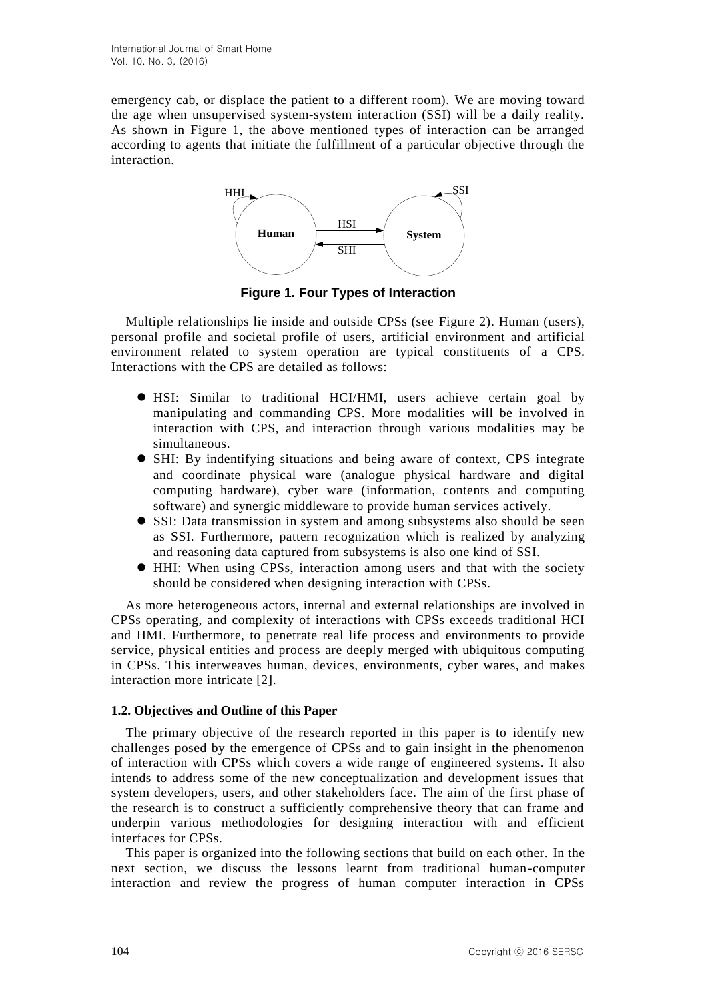emergency cab, or displace the patient to a different room). We are moving toward the age when unsupervised system-system interaction (SSI) will be a daily reality. As shown in Figure 1, the above mentioned types of interaction can be arranged according to agents that initiate the fulfillment of a particular objective through the interaction.



**Figure 1. Four Types of Interaction**

Multiple relationships lie inside and outside CPSs (see Figure 2). Human (users), personal profile and societal profile of users, artificial environment and artificial environment related to system operation are typical constituents of a CPS. Interactions with the CPS are detailed as follows:

- HSI: Similar to traditional HCI/HMI, users achieve certain goal by manipulating and commanding CPS. More modalities will be involved in interaction with CPS, and interaction through various modalities may be simultaneous.
- SHI: By indentifying situations and being aware of context, CPS integrate and coordinate physical ware (analogue physical hardware and digital computing hardware), cyber ware (information, contents and computing software) and synergic middleware to provide human services actively.
- SSI: Data transmission in system and among subsystems also should be seen as SSI. Furthermore, pattern recognization which is realized by analyzing and reasoning data captured from subsystems is also one kind of SSI.
- HHI: When using CPSs, interaction among users and that with the society should be considered when designing interaction with CPSs.

As more heterogeneous actors, internal and external relationships are involved in CPSs operating, and complexity of interactions with CPSs exceeds traditional HCI and HMI. Furthermore, to penetrate real life process and environments to provide service, physical entities and process are deeply merged with ubiquitous computing in CPSs. This interweaves human, devices, environments, cyber wares, and makes interaction more intricate [2].

## **1.2. Objectives and Outline of this Paper**

The primary objective of the research reported in this paper is to identify new challenges posed by the emergence of CPSs and to gain insight in the phenomenon of interaction with CPSs which covers a wide range of engineered systems. It also intends to address some of the new conceptualization and development issues that system developers, users, and other stakeholders face. The aim of the first phase of the research is to construct a sufficiently comprehensive theory that can frame and underpin various methodologies for designing interaction with and efficient interfaces for CPSs.

This paper is organized into the following sections that build on each other. In the next section, we discuss the lessons learnt from traditional human-computer interaction and review the progress of human computer interaction in CPSs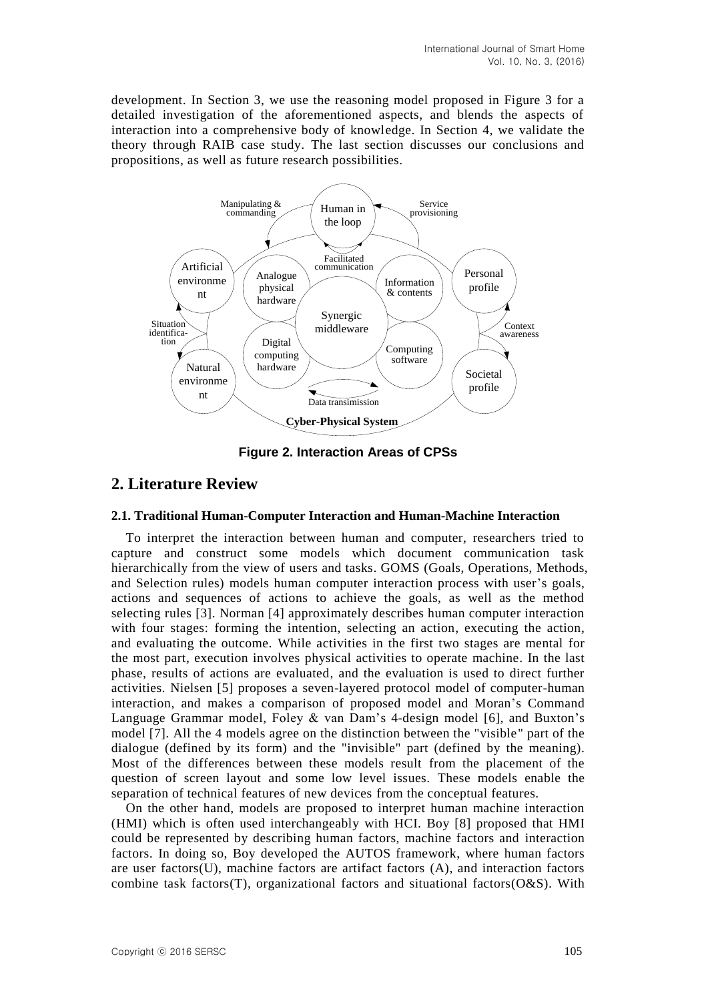development. In Section 3, we use the reasoning model proposed in Figure 3 for a detailed investigation of the aforementioned aspects, and blends the aspects of interaction into a comprehensive body of knowledge. In Section 4, we validate the theory through RAIB case study. The last section discusses our conclusions and propositions, as well as future research possibilities.



**Figure 2. Interaction Areas of CPSs**

# **2. Literature Review**

#### **2.1. Traditional Human-Computer Interaction and Human-Machine Interaction**

To interpret the interaction between human and computer, researchers tried to capture and construct some models which document communication task hierarchically from the view of users and tasks. GOMS (Goals, Operations, Methods, and Selection rules) models human computer interaction process with user's goals, actions and sequences of actions to achieve the goals, as well as the method selecting rules [3]. Norman [4] approximately describes human computer interaction with four stages: forming the intention, selecting an action, executing the action, and evaluating the outcome. While activities in the first two stages are mental for the most part, execution involves physical activities to operate machine. In the last phase, results of actions are evaluated, and the evaluation is used to direct further activities. Nielsen [5] proposes a seven-layered protocol model of computer-human interaction, and makes a comparison of proposed model and Moran's Command Language Grammar model, Foley & van Dam's 4-design model [6], and Buxton's model [7]. All the 4 models agree on the distinction between the "visible" part of the dialogue (defined by its form) and the "invisible" part (defined by the meaning). Most of the differences between these models result from the placement of the question of screen layout and some low level issues. These models enable the separation of technical features of new devices from the conceptual features.

On the other hand, models are proposed to interpret human machine interaction (HMI) which is often used interchangeably with HCI. Boy [8] proposed that HMI could be represented by describing human factors, machine factors and interaction factors. In doing so, Boy developed the AUTOS framework, where human factors are user factors(U), machine factors are artifact factors (A), and interaction factors combine task factors(T), organizational factors and situational factors( $O&S$ ). With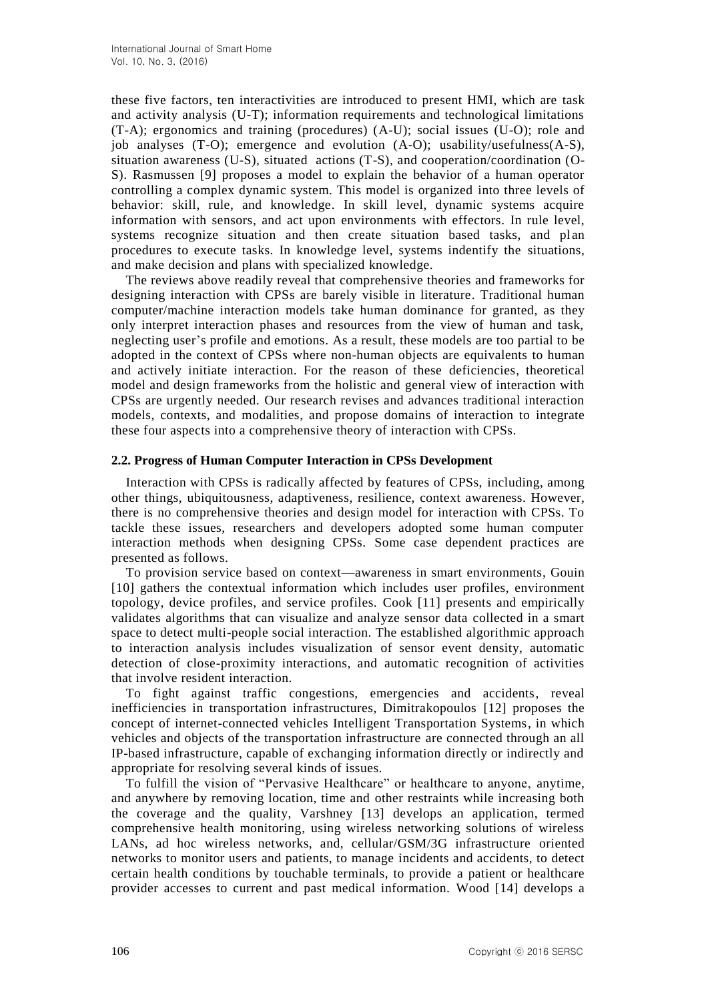these five factors, ten interactivities are introduced to present HMI, which are task and activity analysis (U-T); information requirements and technological limitations (T-A); ergonomics and training (procedures) (A-U); social issues (U-O); role and job analyses (T-O); emergence and evolution (A-O); usability/usefulness(A-S), situation awareness (U-S), situated actions (T-S), and cooperation/coordination (O-S). Rasmussen [9] proposes a model to explain the behavior of a human operator controlling a complex dynamic system. This model is organized into three levels of behavior: skill, rule, and knowledge. In skill level, dynamic systems acquire information with sensors, and act upon environments with effectors. In rule level, systems recognize situation and then create situation based tasks, and plan procedures to execute tasks. In knowledge level, systems indentify the situations, and make decision and plans with specialized knowledge.

The reviews above readily reveal that comprehensive theories and frameworks for designing interaction with CPSs are barely visible in literature. Traditional human computer/machine interaction models take human dominance for granted, as they only interpret interaction phases and resources from the view of human and task, neglecting user's profile and emotions. As a result, these models are too partial to be adopted in the context of CPSs where non-human objects are equivalents to human and actively initiate interaction. For the reason of these deficiencies, theoretical model and design frameworks from the holistic and general view of interaction with CPSs are urgently needed. Our research revises and advances traditional interaction models, contexts, and modalities, and propose domains of interaction to integrate these four aspects into a comprehensive theory of interaction with CPSs.

#### **2.2. Progress of Human Computer Interaction in CPSs Development**

Interaction with CPSs is radically affected by features of CPSs, including, among other things, ubiquitousness, adaptiveness, resilience, context awareness. However, there is no comprehensive theories and design model for interaction with CPSs. To tackle these issues, researchers and developers adopted some human computer interaction methods when designing CPSs. Some case dependent practices are presented as follows.

To provision service based on context—awareness in smart environments, Gouin [10] gathers the contextual information which includes user profiles, environment topology, device profiles, and service profiles. Cook [11] presents and empirically validates algorithms that can visualize and analyze sensor data collected in a smart space to detect multi-people social interaction. The established algorithmic approach to interaction analysis includes visualization of sensor event density, automatic detection of close-proximity interactions, and automatic recognition of activities that involve resident interaction.

To fight against traffic congestions, emergencies and accidents, reveal inefficiencies in transportation infrastructures, Dimitrakopoulos [12] proposes the concept of internet-connected vehicles Intelligent Transportation Systems, in which vehicles and objects of the transportation infrastructure are connected through an all IP-based infrastructure, capable of exchanging information directly or indirectly and appropriate for resolving several kinds of issues.

To fulfill the vision of "Pervasive Healthcare" or healthcare to anyone, anytime, and anywhere by removing location, time and other restraints while increasing both the coverage and the quality, Varshney [13] develops an application, termed comprehensive health monitoring, using wireless networking solutions of wireless LANs, ad hoc wireless networks, and, cellular/GSM/3G infrastructure oriented networks to monitor users and patients, to manage incidents and accidents, to detect certain health conditions by touchable terminals, to provide a patient or healthcare provider accesses to current and past medical information. Wood [14] develops a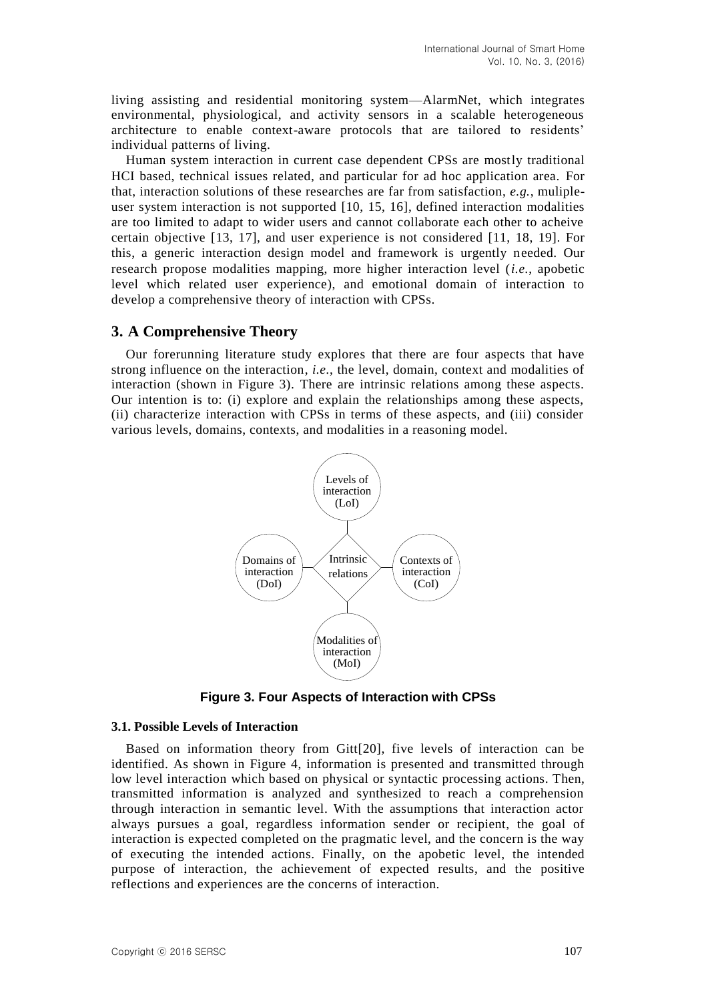living assisting and residential monitoring system—AlarmNet, which integrates environmental, physiological, and activity sensors in a scalable heterogeneous architecture to enable context-aware protocols that are tailored to residents' individual patterns of living.

Human system interaction in current case dependent CPSs are mostly traditional HCI based, technical issues related, and particular for ad hoc application area. For that, interaction solutions of these researches are far from satisfaction, *e.g.*, mulipleuser system interaction is not supported [10, 15, 16], defined interaction modalities are too limited to adapt to wider users and cannot collaborate each other to acheive certain objective [13, 17], and user experience is not considered [11, 18, 19]. For this, a generic interaction design model and framework is urgently needed. Our research propose modalities mapping, more higher interaction level (*i.e.*, apobetic level which related user experience), and emotional domain of interaction to develop a comprehensive theory of interaction with CPSs.

### **3. A Comprehensive Theory**

Our forerunning literature study explores that there are four aspects that have strong influence on the interaction, *i.e.*, the level, domain, context and modalities of interaction (shown in Figure 3). There are intrinsic relations among these aspects. Our intention is to: (i) explore and explain the relationships among these aspects, (ii) characterize interaction with CPSs in terms of these aspects, and (iii) consider various levels, domains, contexts, and modalities in a reasoning model.



**Figure 3. Four Aspects of Interaction with CPSs**

#### **3.1. Possible Levels of Interaction**

Based on information theory from Gitt[20], five levels of interaction can be identified. As shown in Figure 4, information is presented and transmitted through low level interaction which based on physical or syntactic processing actions. Then, transmitted information is analyzed and synthesized to reach a comprehension through interaction in semantic level. With the assumptions that interaction actor always pursues a goal, regardless information sender or recipient, the goal of interaction is expected completed on the pragmatic level, and the concern is the way of executing the intended actions. Finally, on the apobetic level, the intended purpose of interaction, the achievement of expected results, and the positive reflections and experiences are the concerns of interaction.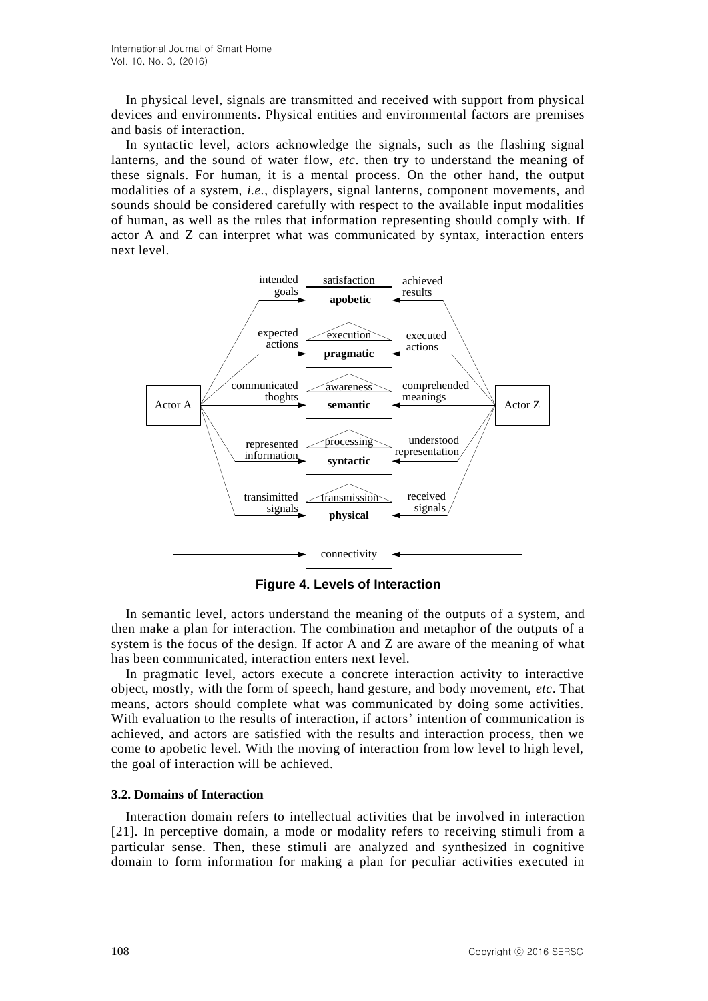In physical level, signals are transmitted and received with support from physical devices and environments. Physical entities and environmental factors are premises and basis of interaction.

In syntactic level, actors acknowledge the signals, such as the flashing signal lanterns, and the sound of water flow, *etc*. then try to understand the meaning of these signals. For human, it is a mental process. On the other hand, the output modalities of a system, *i.e.*, displayers, signal lanterns, component movements, and sounds should be considered carefully with respect to the available input modalities of human, as well as the rules that information representing should comply with. If actor A and Z can interpret what was communicated by syntax, interaction enters next level.



**Figure 4. Levels of Interaction**

In semantic level, actors understand the meaning of the outputs of a system, and then make a plan for interaction. The combination and metaphor of the outputs of a system is the focus of the design. If actor A and Z are aware of the meaning of what has been communicated, interaction enters next level.

In pragmatic level, actors execute a concrete interaction activity to interactive object, mostly, with the form of speech, hand gesture, and body movement, *etc*. That means, actors should complete what was communicated by doing some activities. With evaluation to the results of interaction, if actors' intention of communication is achieved, and actors are satisfied with the results and interaction process, then we come to apobetic level. With the moving of interaction from low level to high level, the goal of interaction will be achieved.

## **3.2. Domains of Interaction**

Interaction domain refers to intellectual activities that be involved in interaction [21]. In perceptive domain, a mode or modality refers to receiving stimuli from a particular sense. Then, these stimuli are analyzed and synthesized in cognitive domain to form information for making a plan for peculiar activities executed in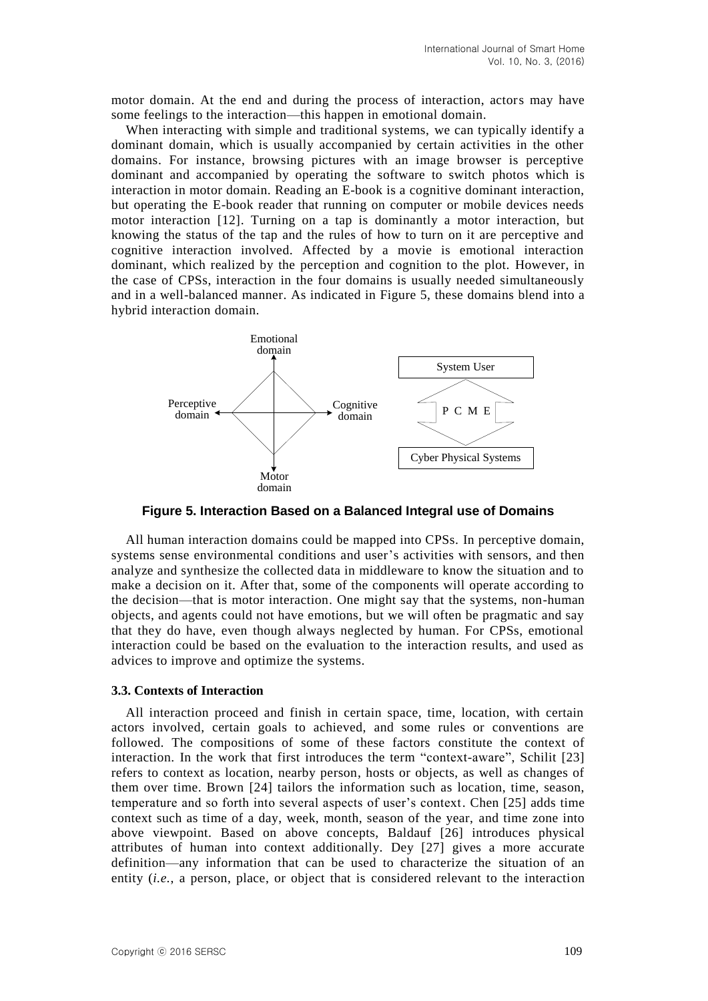motor domain. At the end and during the process of interaction, actors may have some feelings to the interaction—this happen in emotional domain.

When interacting with simple and traditional systems, we can typically identify a dominant domain, which is usually accompanied by certain activities in the other domains. For instance, browsing pictures with an image browser is perceptive dominant and accompanied by operating the software to switch photos which is interaction in motor domain. Reading an E-book is a cognitive dominant interaction, but operating the E-book reader that running on computer or mobile devices needs motor interaction [12]. Turning on a tap is dominantly a motor interaction, but knowing the status of the tap and the rules of how to turn on it are perceptive and cognitive interaction involved. Affected by a movie is emotional interaction dominant, which realized by the perception and cognition to the plot. However, in the case of CPSs, interaction in the four domains is usually needed simultaneously and in a well-balanced manner. As indicated in Figure 5, these domains blend into a hybrid interaction domain.



**Figure 5. Interaction Based on a Balanced Integral use of Domains**

All human interaction domains could be mapped into CPSs. In perceptive domain, systems sense environmental conditions and user's activities with sensors, and then analyze and synthesize the collected data in middleware to know the situation and to make a decision on it. After that, some of the components will operate according to the decision—that is motor interaction. One might say that the systems, non-human objects, and agents could not have emotions, but we will often be pragmatic and say that they do have, even though always neglected by human. For CPSs, emotional interaction could be based on the evaluation to the interaction results, and used as advices to improve and optimize the systems.

#### **3.3. Contexts of Interaction**

All interaction proceed and finish in certain space, time, location, with certain actors involved, certain goals to achieved, and some rules or conventions are followed. The compositions of some of these factors constitute the context of interaction. In the work that first introduces the term "context-aware", Schilit [23] refers to context as location, nearby person, hosts or objects, as well as changes of them over time. Brown [24] tailors the information such as location, time, season, temperature and so forth into several aspects of user's context. Chen [25] adds time context such as time of a day, week, month, season of the year, and time zone into above viewpoint. Based on above concepts, Baldauf [26] introduces physical attributes of human into context additionally. Dey [27] gives a more accurate definition—any information that can be used to characterize the situation of an entity (*i.e.*, a person, place, or object that is considered relevant to the interaction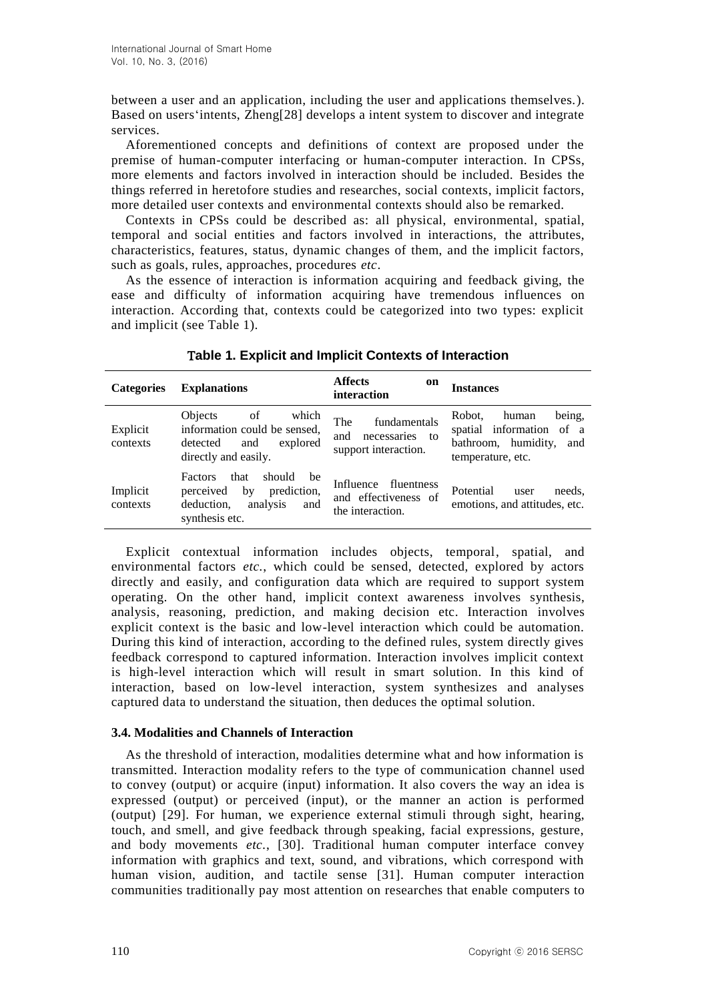between a user and an application, including the user and applications themselves.). Based on users'intents, Zheng[28] develops a intent system to discover and integrate services.

Aforementioned concepts and definitions of context are proposed under the premise of human-computer interfacing or human-computer interaction. In CPSs, more elements and factors involved in interaction should be included. Besides the things referred in heretofore studies and researches, social contexts, implicit factors, more detailed user contexts and environmental contexts should also be remarked.

Contexts in CPSs could be described as: all physical, environmental, spatial, temporal and social entities and factors involved in interactions, the attributes, characteristics, features, status, dynamic changes of them, and the implicit factors, such as goals, rules, approaches, procedures *etc*.

As the essence of interaction is information acquiring and feedback giving, the ease and difficulty of information acquiring have tremendous influences on interaction. According that, contexts could be categorized into two types: explicit and implicit (see Table 1).

| <b>Categories</b>    | <b>Explanations</b>                                                                                                  | Affects<br>on<br>interaction                                            | Instances                                                                                                |
|----------------------|----------------------------------------------------------------------------------------------------------------------|-------------------------------------------------------------------------|----------------------------------------------------------------------------------------------------------|
| Explicit<br>contexts | which<br>Objects<br>of<br>information could be sensed,<br>detected<br>explored<br>and<br>directly and easily.        | fundamentals<br>The<br>and<br>necessaries<br>to<br>support interaction. | being,<br>Robot.<br>human<br>spatial information of a<br>bathroom, humidity,<br>and<br>temperature, etc. |
| Implicit<br>contexts | that<br>Factors<br>should<br>be<br>by<br>prediction,<br>perceived<br>deduction.<br>analysis<br>and<br>synthesis etc. | Influence<br>fluentness<br>and effectiveness of<br>the interaction.     | Potential<br>needs.<br>user<br>emotions, and attitudes, etc.                                             |

**able 1. Explicit and Implicit Contexts of Interaction**

Explicit contextual information includes objects, temporal, spatial, and environmental factors *etc.*, which could be sensed, detected, explored by actors directly and easily, and configuration data which are required to support system operating. On the other hand, implicit context awareness involves synthesis, analysis, reasoning, prediction, and making decision etc. Interaction involves explicit context is the basic and low-level interaction which could be automation. During this kind of interaction, according to the defined rules, system directly gives feedback correspond to captured information. Interaction involves implicit context is high-level interaction which will result in smart solution. In this kind of interaction, based on low-level interaction, system synthesizes and analyses captured data to understand the situation, then deduces the optimal solution.

### **3.4. Modalities and Channels of Interaction**

As the threshold of interaction, modalities determine what and how information is transmitted. Interaction modality refers to the type of communication channel used to convey (output) or acquire (input) information. It also covers the way an idea is expressed (output) or perceived (input), or the manner an action is performed (output) [29]. For human, we experience external stimuli through sight, hearing, touch, and smell, and give feedback through speaking, facial expressions, gesture, and body movements *etc.*, [30]. Traditional human computer interface convey information with graphics and text, sound, and vibrations, which correspond with human vision, audition, and tactile sense [31]. Human computer interaction communities traditionally pay most attention on researches that enable computers to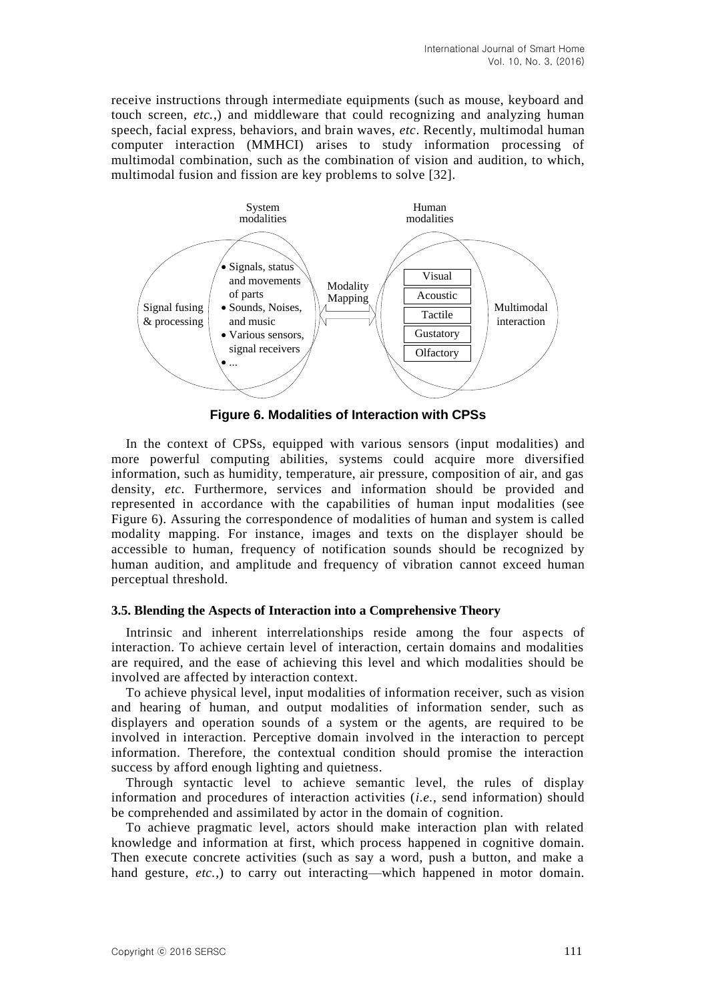receive instructions through intermediate equipments (such as mouse, keyboard and touch screen, *etc.*,) and middleware that could recognizing and analyzing human speech, facial express, behaviors, and brain waves, *etc*. Recently, multimodal human computer interaction (MMHCI) arises to study information processing of multimodal combination, such as the combination of vision and audition, to which, multimodal fusion and fission are key problems to solve [32].



**Figure 6. Modalities of Interaction with CPSs**

In the context of CPSs, equipped with various sensors (input modalities) and more powerful computing abilities, systems could acquire more diversified information, such as humidity, temperature, air pressure, composition of air, and gas density, *etc*. Furthermore, services and information should be provided and represented in accordance with the capabilities of human input modalities (see Figure 6). Assuring the correspondence of modalities of human and system is called modality mapping. For instance, images and texts on the displayer should be accessible to human, frequency of notification sounds should be recognized by human audition, and amplitude and frequency of vibration cannot exceed human perceptual threshold.

### **3.5. Blending the Aspects of Interaction into a Comprehensive Theory**

Intrinsic and inherent interrelationships reside among the four aspects of interaction. To achieve certain level of interaction, certain domains and modalities are required, and the ease of achieving this level and which modalities should be involved are affected by interaction context.

To achieve physical level, input modalities of information receiver, such as vision and hearing of human, and output modalities of information sender, such as displayers and operation sounds of a system or the agents, are required to be involved in interaction. Perceptive domain involved in the interaction to percept information. Therefore, the contextual condition should promise the interaction success by afford enough lighting and quietness.

Through syntactic level to achieve semantic level, the rules of display information and procedures of interaction activities (*i.e.*, send information) should be comprehended and assimilated by actor in the domain of cognition.

To achieve pragmatic level, actors should make interaction plan with related knowledge and information at first, which process happened in cognitive domain. Then execute concrete activities (such as say a word, push a button, and make a hand gesture, *etc.*,) to carry out interacting—which happened in motor domain.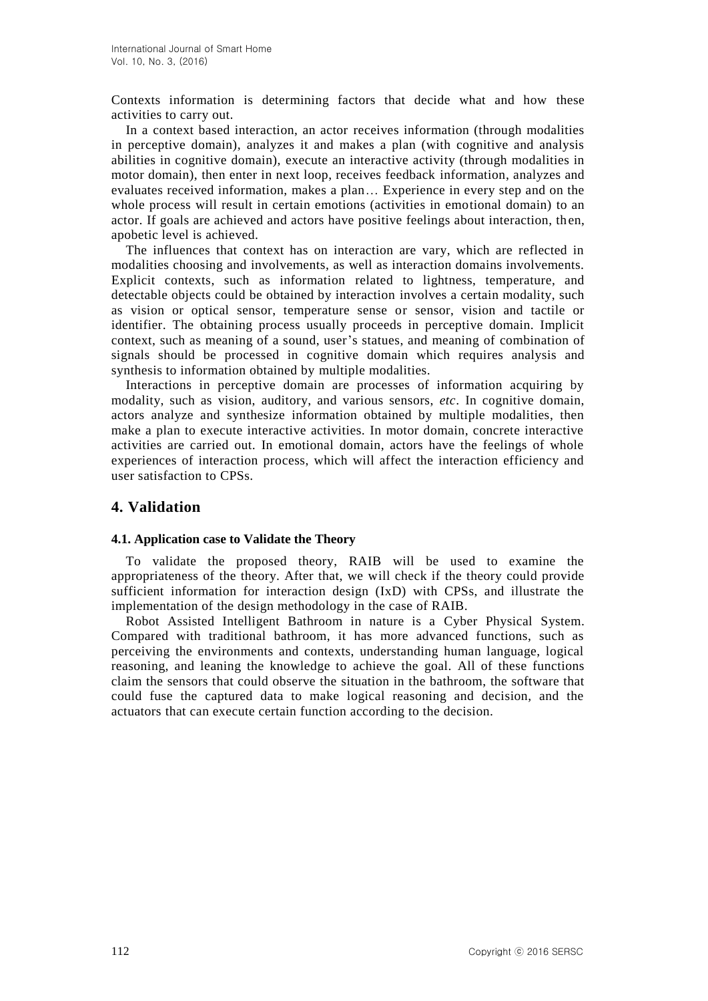Contexts information is determining factors that decide what and how these activities to carry out.

In a context based interaction, an actor receives information (through modalities in perceptive domain), analyzes it and makes a plan (with cognitive and analysis abilities in cognitive domain), execute an interactive activity (through modalities in motor domain), then enter in next loop, receives feedback information, analyzes and evaluates received information, makes a plan… Experience in every step and on the whole process will result in certain emotions (activities in emotional domain) to an actor. If goals are achieved and actors have positive feelings about interaction, then, apobetic level is achieved.

The influences that context has on interaction are vary, which are reflected in modalities choosing and involvements, as well as interaction domains involvements. Explicit contexts, such as information related to lightness, temperature, and detectable objects could be obtained by interaction involves a certain modality, such as vision or optical sensor, temperature sense or sensor, vision and tactile or identifier. The obtaining process usually proceeds in perceptive domain. Implicit context, such as meaning of a sound, user's statues, and meaning of combination of signals should be processed in cognitive domain which requires analysis and synthesis to information obtained by multiple modalities.

Interactions in perceptive domain are processes of information acquiring by modality, such as vision, auditory, and various sensors, *etc*. In cognitive domain, actors analyze and synthesize information obtained by multiple modalities, then make a plan to execute interactive activities. In motor domain, concrete interactive activities are carried out. In emotional domain, actors have the feelings of whole experiences of interaction process, which will affect the interaction efficiency and user satisfaction to CPSs.

# **4. Validation**

### **4.1. Application case to Validate the Theory**

To validate the proposed theory, RAIB will be used to examine the appropriateness of the theory. After that, we will check if the theory could provide sufficient information for interaction design (IxD) with CPSs, and illustrate the implementation of the design methodology in the case of RAIB.

Robot Assisted Intelligent Bathroom in nature is a Cyber Physical System. Compared with traditional bathroom, it has more advanced functions, such as perceiving the environments and contexts, understanding human language, logical reasoning, and leaning the knowledge to achieve the goal. All of these functions claim the sensors that could observe the situation in the bathroom, the software that could fuse the captured data to make logical reasoning and decision, and the actuators that can execute certain function according to the decision.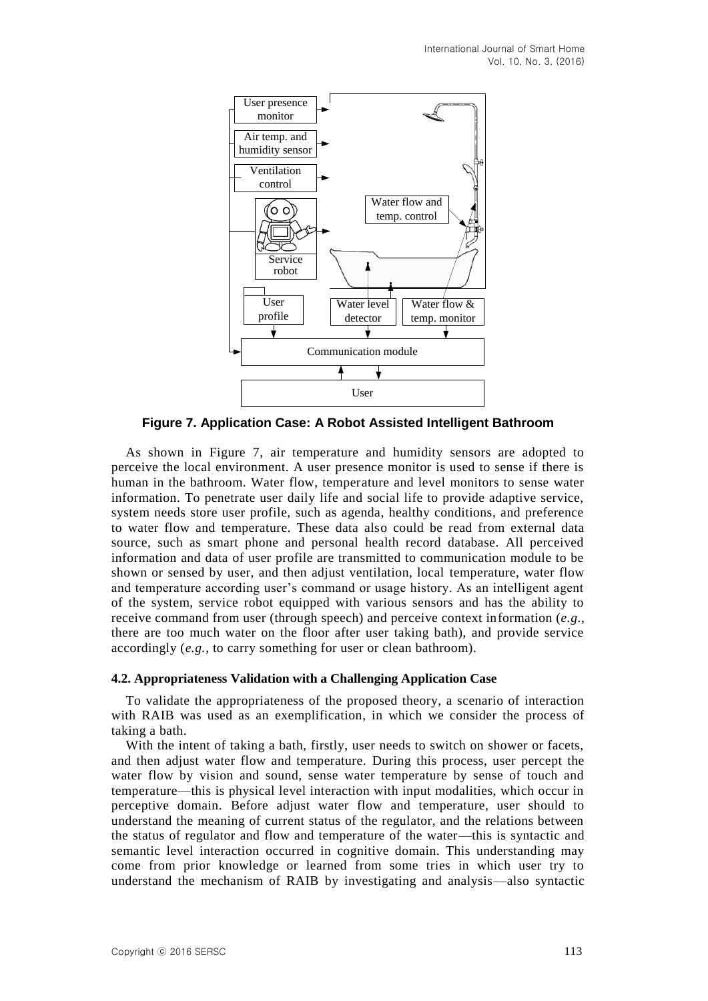

**Figure 7. Application Case: A Robot Assisted Intelligent Bathroom**

As shown in Figure 7, air temperature and humidity sensors are adopted to perceive the local environment. A user presence monitor is used to sense if there is human in the bathroom. Water flow, temperature and level monitors to sense water information. To penetrate user daily life and social life to provide adaptive service, system needs store user profile, such as agenda, healthy conditions, and preference to water flow and temperature. These data also could be read from external data source, such as smart phone and personal health record database. All perceived information and data of user profile are transmitted to communication module to be shown or sensed by user, and then adjust ventilation, local temperature, water flow and temperature according user's command or usage history. As an intelligent agent of the system, service robot equipped with various sensors and has the ability to receive command from user (through speech) and perceive context information (*e.g.*, there are too much water on the floor after user taking bath), and provide service accordingly (*e.g.*, to carry something for user or clean bathroom).

### **4.2. Appropriateness Validation with a Challenging Application Case**

To validate the appropriateness of the proposed theory, a scenario of interaction with RAIB was used as an exemplification, in which we consider the process of taking a bath.

With the intent of taking a bath, firstly, user needs to switch on shower or facets, and then adjust water flow and temperature. During this process, user percept the water flow by vision and sound, sense water temperature by sense of touch and temperature—this is physical level interaction with input modalities, which occur in perceptive domain. Before adjust water flow and temperature, user should to understand the meaning of current status of the regulator, and the relations between the status of regulator and flow and temperature of the water—this is syntactic and semantic level interaction occurred in cognitive domain. This understanding may come from prior knowledge or learned from some tries in which user try to understand the mechanism of RAIB by investigating and analysis—also syntactic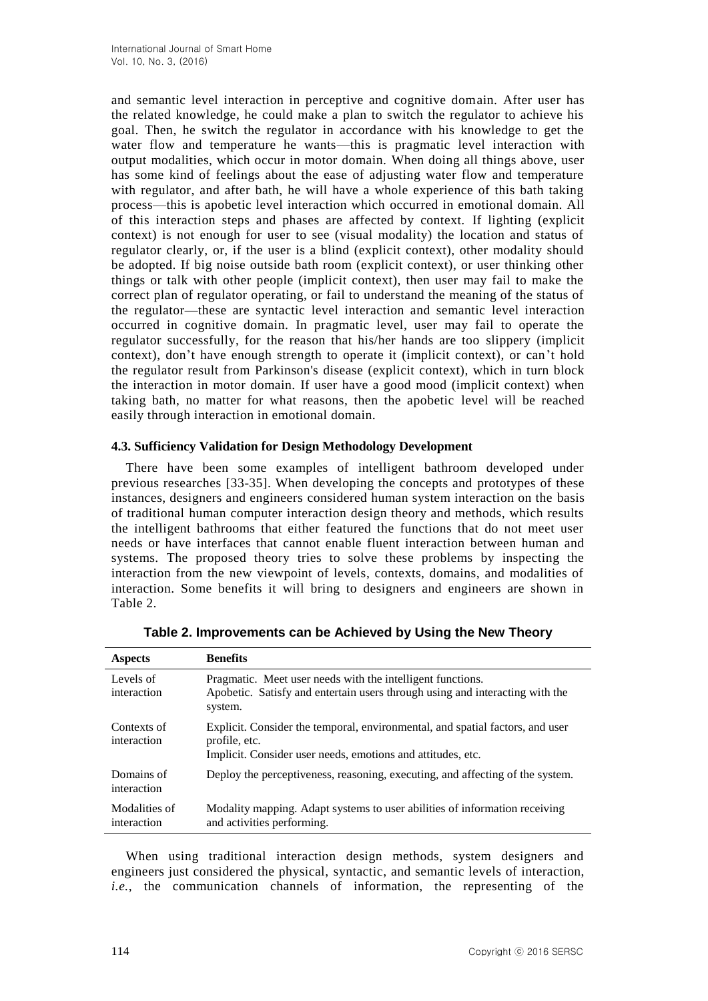and semantic level interaction in perceptive and cognitive domain. After user has the related knowledge, he could make a plan to switch the regulator to achieve his goal. Then, he switch the regulator in accordance with his knowledge to get the water flow and temperature he wants—this is pragmatic level interaction with output modalities, which occur in motor domain. When doing all things above, user has some kind of feelings about the ease of adjusting water flow and temperature with regulator, and after bath, he will have a whole experience of this bath taking process—this is apobetic level interaction which occurred in emotional domain. All of this interaction steps and phases are affected by context. If lighting (explicit context) is not enough for user to see (visual modality) the location and status of regulator clearly, or, if the user is a blind (explicit context), other modality should be adopted. If big noise outside bath room (explicit context), or user thinking other things or talk with other people (implicit context), then user may fail to make the correct plan of regulator operating, or fail to understand the meaning of the status of the regulator—these are syntactic level interaction and semantic level interaction occurred in cognitive domain. In pragmatic level, user may fail to operate the regulator successfully, for the reason that his/her hands are too slippery (implicit context), don't have enough strength to operate it (implicit context), or can't hold the regulator result from Parkinson's disease (explicit context), which in turn block the interaction in motor domain. If user have a good mood (implicit context) when taking bath, no matter for what reasons, then the apobetic level will be reached easily through interaction in emotional domain.

### **4.3. Sufficiency Validation for Design Methodology Development**

There have been some examples of intelligent bathroom developed under previous researches [33-35]. When developing the concepts and prototypes of these instances, designers and engineers considered human system interaction on the basis of traditional human computer interaction design theory and methods, which results the intelligent bathrooms that either featured the functions that do not meet user needs or have interfaces that cannot enable fluent interaction between human and systems. The proposed theory tries to solve these problems by inspecting the interaction from the new viewpoint of levels, contexts, domains, and modalities of interaction. Some benefits it will bring to designers and engineers are shown in Table 2.

| <b>Aspects</b>               | <b>Benefits</b>                                                                                                                                               |
|------------------------------|---------------------------------------------------------------------------------------------------------------------------------------------------------------|
| Levels of<br>interaction     | Pragmatic. Meet user needs with the intelligent functions.<br>Apobetic. Satisfy and entertain users through using and interacting with the<br>system.         |
| Contexts of<br>interaction   | Explicit. Consider the temporal, environmental, and spatial factors, and user<br>profile, etc.<br>Implicit. Consider user needs, emotions and attitudes, etc. |
| Domains of<br>interaction    | Deploy the perceptiveness, reasoning, executing, and affecting of the system.                                                                                 |
| Modalities of<br>interaction | Modality mapping. Adapt systems to user abilities of information receiving<br>and activities performing.                                                      |

| Table 2. Improvements can be Achieved by Using the New Theory |  |  |  |
|---------------------------------------------------------------|--|--|--|
|                                                               |  |  |  |

When using traditional interaction design methods, system designers and engineers just considered the physical, syntactic, and semantic levels of interaction, *i.e.*, the communication channels of information, the representing of the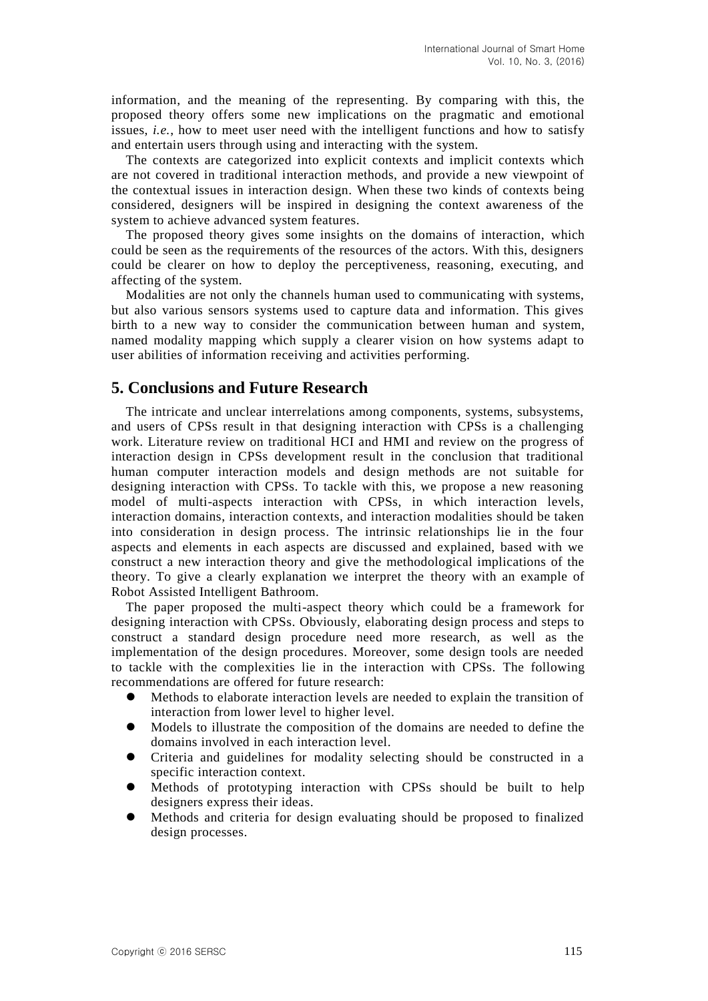information, and the meaning of the representing. By comparing with this, the proposed theory offers some new implications on the pragmatic and emotional issues, *i.e.*, how to meet user need with the intelligent functions and how to satisfy and entertain users through using and interacting with the system.

The contexts are categorized into explicit contexts and implicit contexts which are not covered in traditional interaction methods, and provide a new viewpoint of the contextual issues in interaction design. When these two kinds of contexts being considered, designers will be inspired in designing the context awareness of the system to achieve advanced system features.

The proposed theory gives some insights on the domains of interaction, which could be seen as the requirements of the resources of the actors. With this, designers could be clearer on how to deploy the perceptiveness, reasoning, executing, and affecting of the system.

Modalities are not only the channels human used to communicating with systems, but also various sensors systems used to capture data and information. This gives birth to a new way to consider the communication between human and system, named modality mapping which supply a clearer vision on how systems adapt to user abilities of information receiving and activities performing.

# **5. Conclusions and Future Research**

The intricate and unclear interrelations among components, systems, subsystems, and users of CPSs result in that designing interaction with CPSs is a challenging work. Literature review on traditional HCI and HMI and review on the progress of interaction design in CPSs development result in the conclusion that traditional human computer interaction models and design methods are not suitable for designing interaction with CPSs. To tackle with this, we propose a new reasoning model of multi-aspects interaction with CPSs, in which interaction levels, interaction domains, interaction contexts, and interaction modalities should be taken into consideration in design process. The intrinsic relationships lie in the four aspects and elements in each aspects are discussed and explained, based with we construct a new interaction theory and give the methodological implications of the theory. To give a clearly explanation we interpret the theory with an example of Robot Assisted Intelligent Bathroom.

The paper proposed the multi-aspect theory which could be a framework for designing interaction with CPSs. Obviously, elaborating design process and steps to construct a standard design procedure need more research, as well as the implementation of the design procedures. Moreover, some design tools are needed to tackle with the complexities lie in the interaction with CPSs. The following recommendations are offered for future research:

- Methods to elaborate interaction levels are needed to explain the transition of interaction from lower level to higher level.
- Models to illustrate the composition of the domains are needed to define the domains involved in each interaction level.
- Criteria and guidelines for modality selecting should be constructed in a specific interaction context.
- Methods of prototyping interaction with CPSs should be built to help designers express their ideas.
- Methods and criteria for design evaluating should be proposed to finalized design processes.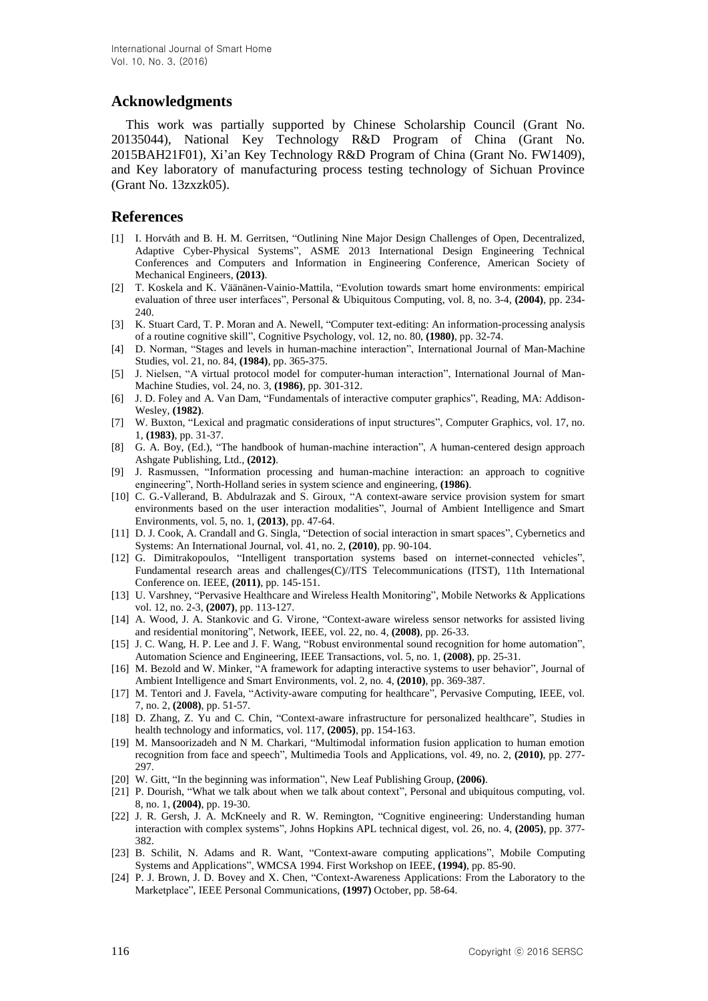## **Acknowledgments**

This work was partially supported by Chinese Scholarship Council (Grant No. 20135044), National Key Technology R&D Program of China (Grant No. 2015BAH21F01), Xi'an Key Technology R&D Program of China (Grant No. FW1409), and Key laboratory of manufacturing process testing technology of Sichuan Province (Grant No. 13zxzk05).

## **References**

- [1] I. Horváth and B. H. M. Gerritsen, "Outlining Nine Major Design Challenges of Open, Decentralized, Adaptive Cyber-Physical Systems", ASME 2013 International Design Engineering Technical Conferences and Computers and Information in Engineering Conference, American Society of Mechanical Engineers, **(2013)**.
- [2] T. Koskela and K. Väänänen-Vainio-Mattila, "Evolution towards smart home environments: empirical evaluation of three user interfaces", Personal & Ubiquitous Computing, vol. 8, no. 3-4, **(2004)**, pp. 234- 240
- [3] K. Stuart Card, T. P. Moran and A. Newell, "Computer text-editing: An information-processing analysis of a routine cognitive skill", Cognitive Psychology, vol. 12, no. 80, **(1980)**, pp. 32-74.
- [4] D. Norman, "Stages and levels in human-machine interaction", International Journal of Man-Machine Studies, vol. 21, no. 84, **(1984)**, pp. 365**-**375.
- [5] J. Nielsen, "A virtual protocol model for computer-human interaction", International Journal of Man-Machine Studies, vol. 24, no. 3, **(1986)**, pp. 301-312.
- [6] J. D. Foley and A. Van Dam, "Fundamentals of interactive computer graphics", Reading, MA: Addison-Wesley, **(1982)**.
- [7] W. Buxton, "Lexical and pragmatic considerations of input structures", Computer Graphics, vol. 17, no. 1, **(1983)**, pp. 31-37.
- [8] G. A. Boy, (Ed.), "The handbook of human-machine interaction", A human-centered design approach Ashgate Publishing, Ltd., **(2012)**.
- [9] J. Rasmussen, "Information processing and human-machine interaction: an approach to cognitive engineering", North-Holland series in system science and engineering, **(1986)**.
- [10] C. G.-Vallerand, B. Abdulrazak and S. Giroux, "A context-aware service provision system for smart environments based on the user interaction modalities", Journal of Ambient Intelligence and Smart Environments, vol. 5, no. 1, **(2013)**, pp. 47-64.
- [11] D. J. Cook, A. Crandall and G. Singla, "Detection of social interaction in smart spaces", Cybernetics and Systems: An International Journal, vol. 41, no. 2, **(2010)**, pp. 90-104.
- [12] G. Dimitrakopoulos, "Intelligent transportation systems based on internet-connected vehicles", Fundamental research areas and challenges(C)//ITS Telecommunications (ITST), 11th International Conference on. IEEE, **(2011)**, pp. 145-151.
- [13] U. Varshney, "Pervasive Healthcare and Wireless Health Monitoring", Mobile Networks & Applications vol. 12, no. 2-3, **(2007)**, pp. 113-127.
- [14] A. Wood, J. A. Stankovic and G. Virone, "Context-aware wireless sensor networks for assisted living and residential monitoring", Network, IEEE, vol. 22, no. 4, **(2008)**, pp. 26-33.
- [15] J. C. Wang, H. P. Lee and J. F. Wang, "Robust environmental sound recognition for home automation", Automation Science and Engineering, IEEE Transactions, vol. 5, no. 1, **(2008)**, pp. 25-31.
- [16] M. Bezold and W. Minker, "A framework for adapting interactive systems to user behavior", Journal of Ambient Intelligence and Smart Environments, vol. 2, no. 4, **(2010)**, pp. 369-387.
- [17] M. Tentori and J. Favela, "Activity-aware computing for healthcare", Pervasive Computing, IEEE, vol. 7, no. 2, **(2008)**, pp. 51-57.
- [18] D. Zhang, Z. Yu and C. Chin, "Context-aware infrastructure for personalized healthcare", Studies in health technology and informatics, vol. 117, **(2005)**, pp. 154-163.
- [19] M. Mansoorizadeh and N M. Charkari, "Multimodal information fusion application to human emotion recognition from face and speech", Multimedia Tools and Applications, vol. 49, no. 2, **(2010)**, pp. 277- 297.
- [20] W. Gitt, "In the beginning was information", New Leaf Publishing Group, **(2006)**.
- [21] P. Dourish, "What we talk about when we talk about context", Personal and ubiquitous computing, vol. 8, no. 1, **(2004)**, pp. 19-30.
- [22] J. R. Gersh, J. A. McKneely and R. W. Remington, "Cognitive engineering: Understanding human interaction with complex systems", Johns Hopkins APL technical digest, vol. 26, no. 4, **(2005)**, pp. 377- 382.
- [23] B. Schilit, N. Adams and R. Want, "Context-aware computing applications", Mobile Computing Systems and Applications", WMCSA 1994. First Workshop on IEEE, **(1994)**, pp. 85-90.
- [24] P. J. Brown, J. D. Bovey and X. Chen, "Context-Awareness Applications: From the Laboratory to the Marketplace", IEEE Personal Communications, **(1997)** October, pp. 58-64.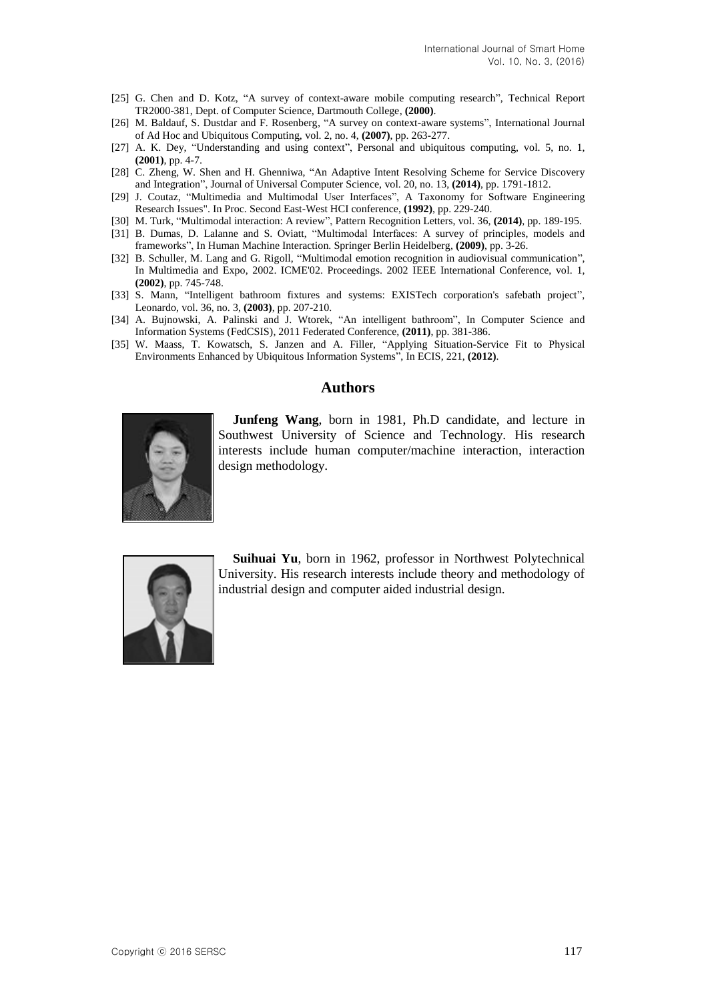- [25] G. Chen and D. Kotz, "A survey of context-aware mobile computing research", Technical Report TR2000-381, Dept. of Computer Science, Dartmouth College, **(2000)**.
- [26] M. Baldauf, S. Dustdar and F. Rosenberg, "A survey on context-aware systems", International Journal of Ad Hoc and Ubiquitous Computing, vol. 2, no. 4, **(2007)**, pp. 263-277.
- [27] A. K. Dey, "Understanding and using context", Personal and ubiquitous computing, vol. 5, no. 1, **(2001)**, pp. 4-7.
- [28] C. Zheng, W. Shen and H. Ghenniwa, "An Adaptive Intent Resolving Scheme for Service Discovery and Integration", Journal of Universal Computer Science, vol. 20, no. 13, **(2014)**, pp. 1791-1812.
- [29] J. Coutaz, "Multimedia and Multimodal User Interfaces", A Taxonomy for Software Engineering Research Issues". In Proc. Second East-West HCI conference, **(1992)**, pp. 229-240.
- [30] M. Turk, "Multimodal interaction: A review", Pattern Recognition Letters, vol. 36, **(2014)**, pp. 189-195.
- [31] B. Dumas, D. Lalanne and S. Oviatt, "Multimodal Interfaces: A survey of principles, models and frameworks", In Human Machine Interaction. Springer Berlin Heidelberg, **(2009)**, pp. 3-26.
- [32] B. Schuller, M. Lang and G. Rigoll, "Multimodal emotion recognition in audiovisual communication", In Multimedia and Expo, 2002. ICME'02. Proceedings. 2002 IEEE International Conference, vol. 1, **(2002)**, pp. 745-748.
- [33] S. Mann, "Intelligent bathroom fixtures and systems: EXISTech corporation's safebath project", Leonardo, vol. 36, no. 3, **(2003)**, pp. 207-210.
- [34] A. Bujnowski, A. Palinski and J. Wtorek, "An intelligent bathroom", In Computer Science and Information Systems (FedCSIS), 2011 Federated Conference, **(2011)**, pp. 381-386.
- [35] W. Maass, T. Kowatsch, S. Janzen and A. Filler, "Applying Situation-Service Fit to Physical Environments Enhanced by Ubiquitous Information Systems", In ECIS, 221, **(2012)**.

#### **Authors**



**Junfeng Wang**, born in 1981, Ph.D candidate, and lecture in Southwest University of Science and Technology. His research interests include human computer/machine interaction, interaction design methodology.



**Suihuai Yu**, born in 1962, professor in Northwest Polytechnical University. His research interests include theory and methodology of industrial design and computer aided industrial design.